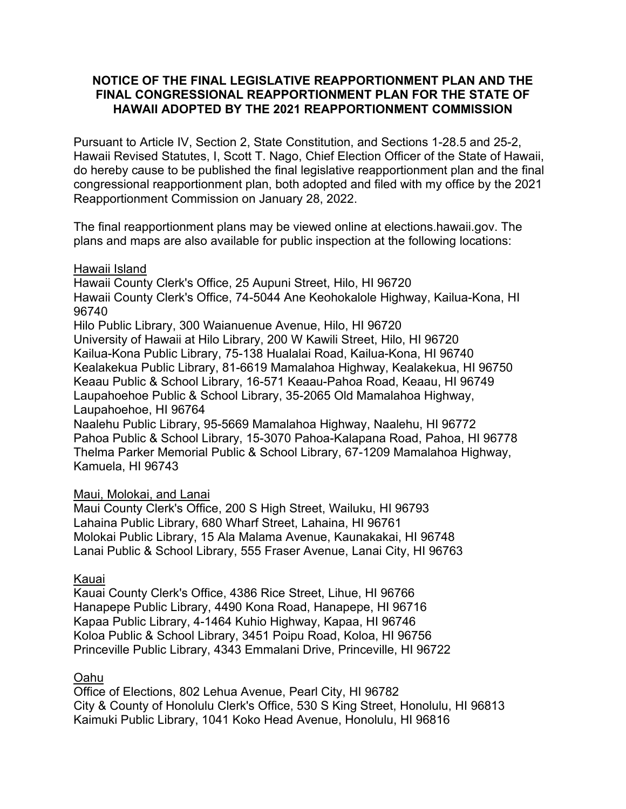## **NOTICE OF THE FINAL LEGISLATIVE REAPPORTIONMENT PLAN AND THE FINAL CONGRESSIONAL REAPPORTIONMENT PLAN FOR THE STATE OF HAWAII ADOPTED BY THE 2021 REAPPORTIONMENT COMMISSION**

Pursuant to Article IV, Section 2, State Constitution, and Sections 1-28.5 and 25-2, Hawaii Revised Statutes, I, Scott T. Nago, Chief Election Officer of the State of Hawaii, do hereby cause to be published the final legislative reapportionment plan and the final congressional reapportionment plan, both adopted and filed with my office by the 2021 Reapportionment Commission on January 28, 2022.

The final reapportionment plans may be viewed online at elections.hawaii.gov. The plans and maps are also available for public inspection at the following locations:

## Hawaii Island

Hawaii County Clerk's Office, 25 Aupuni Street, Hilo, HI 96720 Hawaii County Clerk's Office, 74-5044 Ane Keohokalole Highway, Kailua-Kona, HI 96740

Hilo Public Library, 300 Waianuenue Avenue, Hilo, HI 96720 University of Hawaii at Hilo Library, 200 W Kawili Street, Hilo, HI 96720 Kailua-Kona Public Library, 75-138 Hualalai Road, Kailua-Kona, HI 96740 Kealakekua Public Library, 81-6619 Mamalahoa Highway, Kealakekua, HI 96750 Keaau Public & School Library, 16-571 Keaau-Pahoa Road, Keaau, HI 96749 Laupahoehoe Public & School Library, 35-2065 Old Mamalahoa Highway, Laupahoehoe, HI 96764

Naalehu Public Library, 95-5669 Mamalahoa Highway, Naalehu, HI 96772 Pahoa Public & School Library, 15-3070 Pahoa-Kalapana Road, Pahoa, HI 96778 Thelma Parker Memorial Public & School Library, 67-1209 Mamalahoa Highway, Kamuela, HI 96743

## Maui, Molokai, and Lanai

Maui County Clerk's Office, 200 S High Street, Wailuku, HI 96793 Lahaina Public Library, 680 Wharf Street, Lahaina, HI 96761 Molokai Public Library, 15 Ala Malama Avenue, Kaunakakai, HI 96748 Lanai Public & School Library, 555 Fraser Avenue, Lanai City, HI 96763

# Kauai

Kauai County Clerk's Office, 4386 Rice Street, Lihue, HI 96766 Hanapepe Public Library, 4490 Kona Road, Hanapepe, HI 96716 Kapaa Public Library, 4-1464 Kuhio Highway, Kapaa, HI 96746 Koloa Public & School Library, 3451 Poipu Road, Koloa, HI 96756 Princeville Public Library, 4343 Emmalani Drive, Princeville, HI 96722

# Oahu

Office of Elections, 802 Lehua Avenue, Pearl City, HI 96782 City & County of Honolulu Clerk's Office, 530 S King Street, Honolulu, HI 96813 Kaimuki Public Library, 1041 Koko Head Avenue, Honolulu, HI 96816